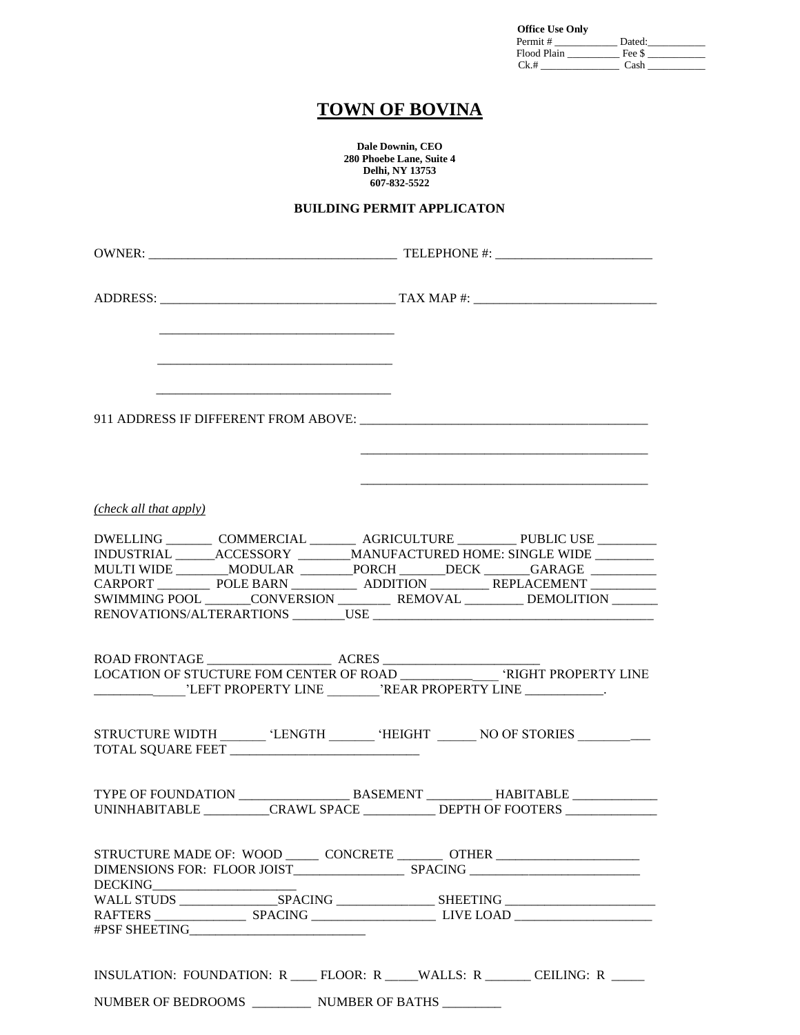| <b>Office Use Only</b> |        |  |
|------------------------|--------|--|
| Permit #               | Dated: |  |
| Flood Plain            | Fee \$ |  |
| Ck.#                   | Cash   |  |

### **TOWN OF BOVINA**

**Dale Downin, CEO 280 Phoebe Lane, Suite 4 Delhi, NY 13753 607-832-5522**

#### **BUILDING PERMIT APPLICATON**

|                                                | <u> 1980 - Jan James James, martin amerikan basar dan berasal dalam pengaran basar dalam pengaran basar dalam pe</u>                                                                                                                                                                                                                                                                                                                                                                                                                                                                          |
|------------------------------------------------|-----------------------------------------------------------------------------------------------------------------------------------------------------------------------------------------------------------------------------------------------------------------------------------------------------------------------------------------------------------------------------------------------------------------------------------------------------------------------------------------------------------------------------------------------------------------------------------------------|
| (check all that apply)                         |                                                                                                                                                                                                                                                                                                                                                                                                                                                                                                                                                                                               |
|                                                | DWELLING _________ COMMERCIAL ________ AGRICULTURE _________ PUBLIC USE ________<br>$\begin{tabular}{l c c c c} \hline & \multicolumn{2}{c }{ACCESSORY} & \multicolumn{2}{c }{MANUFACTURED HOME: SINGLE WIDE} \\\hline \multicolumn{2}{c }{MULTI WIDE} & \multicolumn{2}{c }{MODULAR} & \multicolumn{2}{c }{PORCH} & \multicolumn{2}{c }{DECK} & \multicolumn{2}{c }{GARAGE} \\\hline \multicolumn{2}{c }{CARPORT} & \multicolumn{2}{c }{POLE BARN} & \multicolumn{2}{c }{ADDITION} & \multicolumn{2}{c }{REPLACEMENT} \\\hline \end{tabular}$<br>SWIMMING POOL CONVERSION REMOVAL DEMOLITION |
| LEFT PROPERTY LINE NREAR PROPERTY LINE         |                                                                                                                                                                                                                                                                                                                                                                                                                                                                                                                                                                                               |
|                                                | STRUCTURE WIDTH ________ 'LENGTH _______ 'HEIGHT _______ NO OF STORIES ________                                                                                                                                                                                                                                                                                                                                                                                                                                                                                                               |
|                                                | UNINHABITABLE ___________CRAWL SPACE ___________ DEPTH OF FOOTERS ______________                                                                                                                                                                                                                                                                                                                                                                                                                                                                                                              |
| DIMENSIONS FOR: FLOOR JOIST SPACING<br>DECKING | STRUCTURE MADE OF: WOOD ______ CONCRETE _______ OTHER __________________________                                                                                                                                                                                                                                                                                                                                                                                                                                                                                                              |
|                                                |                                                                                                                                                                                                                                                                                                                                                                                                                                                                                                                                                                                               |
|                                                | INSULATION: FOUNDATION: R ___ FLOOR: R ____WALLS: R _____ CEILING: R ____                                                                                                                                                                                                                                                                                                                                                                                                                                                                                                                     |

NUMBER OF BEDROOMS \_\_\_\_\_\_\_\_\_ NUMBER OF BATHS \_\_\_\_\_\_\_\_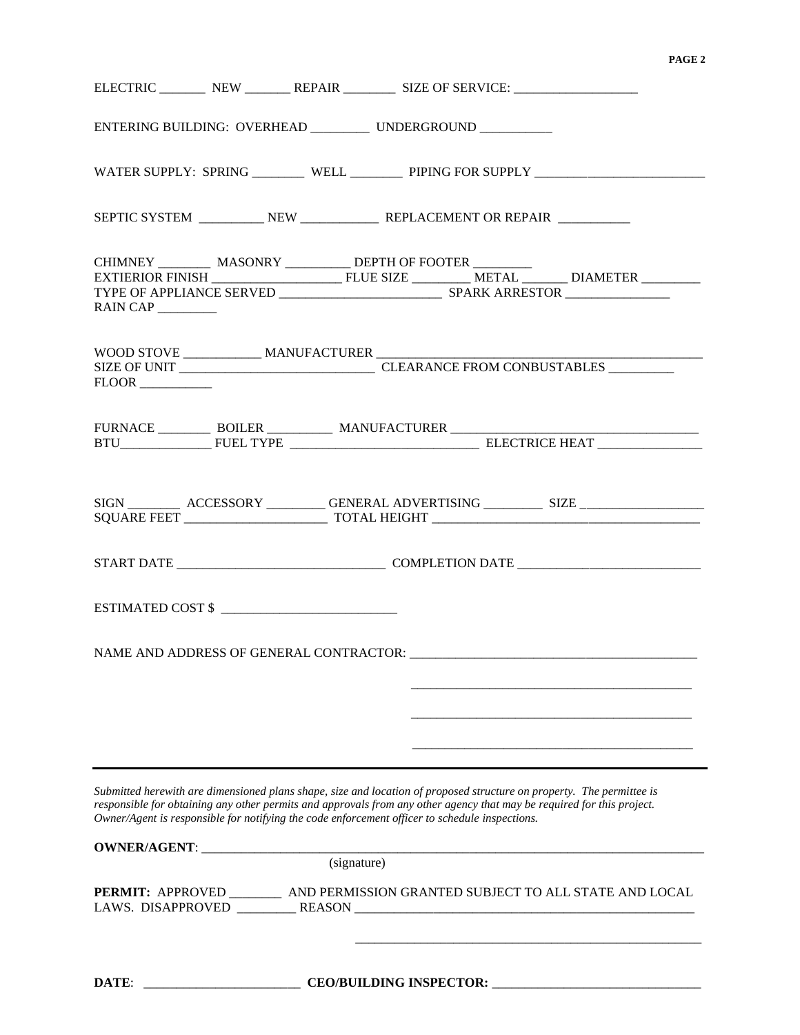#### **PAGE 2**

|                                                                                                |             |                                | ELECTRIC NEW REPAIR SIZE OF SERVICE:                                                                                                                                                                                                            |                                                                                                                                                                                                                                                                                                                                                                                                                                                                                                                                           |
|------------------------------------------------------------------------------------------------|-------------|--------------------------------|-------------------------------------------------------------------------------------------------------------------------------------------------------------------------------------------------------------------------------------------------|-------------------------------------------------------------------------------------------------------------------------------------------------------------------------------------------------------------------------------------------------------------------------------------------------------------------------------------------------------------------------------------------------------------------------------------------------------------------------------------------------------------------------------------------|
|                                                                                                |             |                                | ENTERING BUILDING: OVERHEAD ___________ UNDERGROUND __________                                                                                                                                                                                  |                                                                                                                                                                                                                                                                                                                                                                                                                                                                                                                                           |
|                                                                                                |             |                                |                                                                                                                                                                                                                                                 | WATER SUPPLY: SPRING ________ WELL ________ PIPING FOR SUPPLY ___________________                                                                                                                                                                                                                                                                                                                                                                                                                                                         |
|                                                                                                |             |                                |                                                                                                                                                                                                                                                 |                                                                                                                                                                                                                                                                                                                                                                                                                                                                                                                                           |
|                                                                                                |             |                                |                                                                                                                                                                                                                                                 | $\begin{tabular}{l c c} \hline \textbf{CHIMNEY}\hspace{0.08cm}\textbf{\textcolor{blue}{\bf MASONRY}\textcolor{red}{\bf \textcolor{blue}{\bf -L.}}\textcolor{blue}{\bf \textcolor{blue}{\bf DEPTH OF FOOTER}\textcolor{red}{\bf \textcolor{blue}{\bf -L.}}\textcolor{blue}{\bf \textcolor{blue}{\bf -L.}}\textcolor{blue}{\bf \textcolor{blue}{\bf D1AMETER}\textcolor{red}{\bf \textcolor{blue}{\bf -L.}}\textcolor{blue}{\bf \textcolor{blue}{\bf -L.}}\textcolor{blue}{\bf \textcolor{blue}{\bf NETAL}\textcolor{blue}{\bf \textcolor{$ |
|                                                                                                |             |                                |                                                                                                                                                                                                                                                 |                                                                                                                                                                                                                                                                                                                                                                                                                                                                                                                                           |
|                                                                                                |             |                                |                                                                                                                                                                                                                                                 | $\begin{tabular}{l c c c} \hline \text{FURNACE} & \text{\hspace{3cm}} \text{BOLER} & \text{\hspace{3cm}} \text{MANUFACTURER} \\ \hline \text{BTU} & \text{FUEL TYPE} & \text{\hspace{3cm}} \text{MANUFACTURER} & \text{\hspace{3cm}} \text{ELECTRICE HEAT} \\ \hline \end{tabular}$                                                                                                                                                                                                                                                       |
|                                                                                                |             |                                |                                                                                                                                                                                                                                                 |                                                                                                                                                                                                                                                                                                                                                                                                                                                                                                                                           |
|                                                                                                |             |                                |                                                                                                                                                                                                                                                 |                                                                                                                                                                                                                                                                                                                                                                                                                                                                                                                                           |
| ESTIMATED COST \$                                                                              |             |                                |                                                                                                                                                                                                                                                 |                                                                                                                                                                                                                                                                                                                                                                                                                                                                                                                                           |
|                                                                                                |             |                                |                                                                                                                                                                                                                                                 |                                                                                                                                                                                                                                                                                                                                                                                                                                                                                                                                           |
| Owner/Agent is responsible for notifying the code enforcement officer to schedule inspections. |             |                                | Submitted herewith are dimensioned plans shape, size and location of proposed structure on property. The permittee is<br>responsible for obtaining any other permits and approvals from any other agency that may be required for this project. |                                                                                                                                                                                                                                                                                                                                                                                                                                                                                                                                           |
|                                                                                                | (signature) |                                |                                                                                                                                                                                                                                                 |                                                                                                                                                                                                                                                                                                                                                                                                                                                                                                                                           |
|                                                                                                |             |                                |                                                                                                                                                                                                                                                 | PERMIT: APPROVED __________ AND PERMISSION GRANTED SUBJECT TO ALL STATE AND LOCAL                                                                                                                                                                                                                                                                                                                                                                                                                                                         |
| DATE:                                                                                          |             | <b>CEO/BUILDING INSPECTOR:</b> |                                                                                                                                                                                                                                                 |                                                                                                                                                                                                                                                                                                                                                                                                                                                                                                                                           |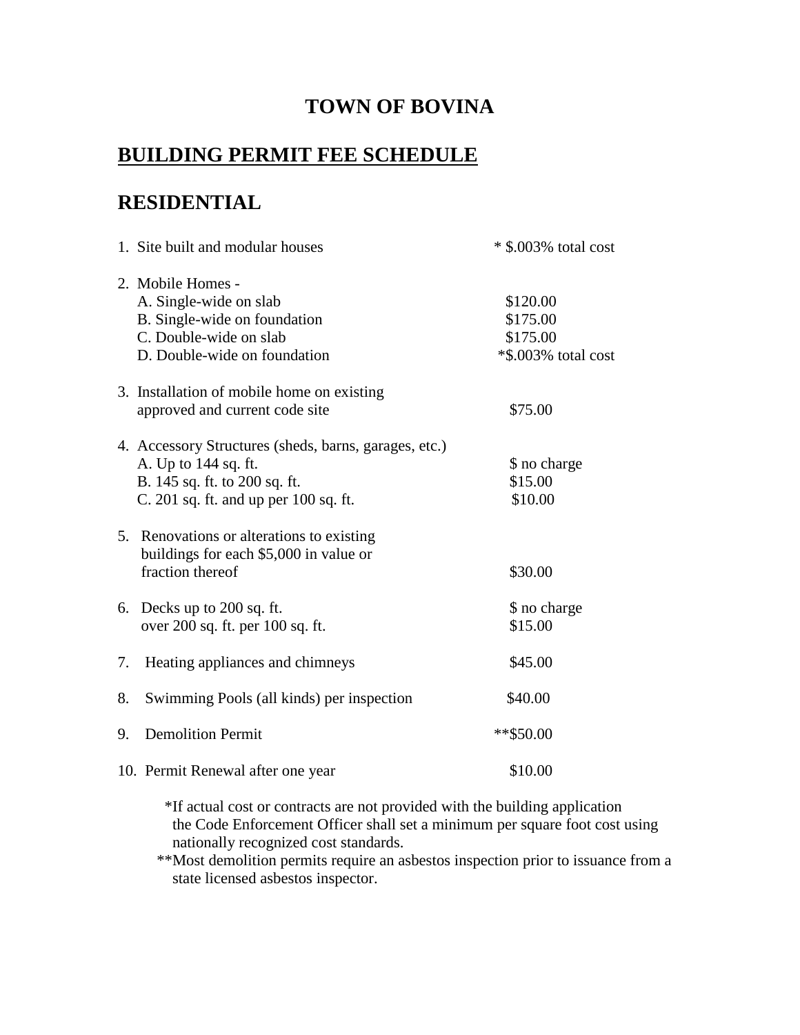## **TOWN OF BOVINA**

# **BUILDING PERMIT FEE SCHEDULE**

### **RESIDENTIAL**

|    | 1. Site built and modular houses                                                    | $*$ \$.003% total cost |
|----|-------------------------------------------------------------------------------------|------------------------|
|    | 2. Mobile Homes -                                                                   |                        |
|    | A. Single-wide on slab                                                              | \$120.00               |
|    | B. Single-wide on foundation                                                        | \$175.00               |
|    | C. Double-wide on slab                                                              | \$175.00               |
|    | D. Double-wide on foundation                                                        | *\$.003% total cost    |
|    | 3. Installation of mobile home on existing                                          |                        |
|    | approved and current code site                                                      | \$75.00                |
|    | 4. Accessory Structures (sheds, barns, garages, etc.)                               |                        |
|    | A. Up to 144 sq. ft.                                                                | \$ no charge           |
|    | B. 145 sq. ft. to 200 sq. ft.                                                       | \$15.00                |
|    | C. 201 sq. ft. and up per 100 sq. ft.                                               | \$10.00                |
|    | 5. Renovations or alterations to existing<br>buildings for each \$5,000 in value or |                        |
|    | fraction thereof                                                                    | \$30.00                |
|    | 6. Decks up to 200 sq. ft.                                                          | \$ no charge           |
|    | over 200 sq. ft. per 100 sq. ft.                                                    | \$15.00                |
| 7. | Heating appliances and chimneys                                                     | \$45.00                |
| 8. | Swimming Pools (all kinds) per inspection                                           | \$40.00                |
| 9. | <b>Demolition Permit</b>                                                            | **\$50.00              |
|    | 10. Permit Renewal after one year                                                   | \$10.00                |

\*If actual cost or contracts are not provided with the building application the Code Enforcement Officer shall set a minimum per square foot cost using nationally recognized cost standards.

 \*\*Most demolition permits require an asbestos inspection prior to issuance from a state licensed asbestos inspector.